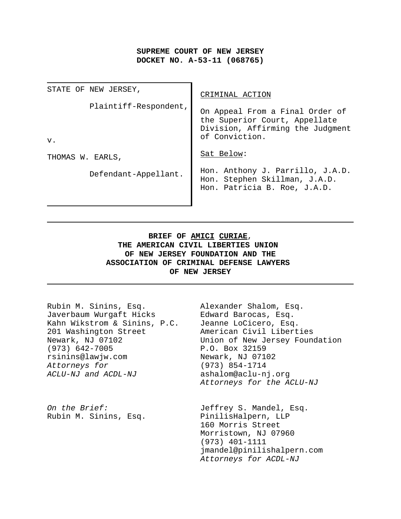# **SUPREME COURT OF NEW JERSEY DOCKET NO. A-53-11 (068765)**

| STATE OF NEW JERSEY,           | CRIMINAL ACTION                                                                                                        |
|--------------------------------|------------------------------------------------------------------------------------------------------------------------|
| Plaintiff-Respondent,<br>$V$ . | On Appeal From a Final Order of<br>the Superior Court, Appellate<br>Division, Affirming the Judgment<br>of Conviction. |
| THOMAS W. EARLS,               | Sat Below:                                                                                                             |
| Defendant-Appellant.           | Hon. Anthony J. Parrillo, J.A.D.<br>Hon. Stephen Skillman, J.A.D.<br>Hon. Patricia B. Roe, J.A.D.                      |

# **BRIEF OF AMICI CURIAE**, **THE AMERICAN CIVIL LIBERTIES UNION OF NEW JERSEY FOUNDATION AND THE ASSOCIATION OF CRIMINAL DEFENSE LAWYERS OF NEW JERSEY**

| Rubin M. Sinins, Esq.<br>Javerbaum Wurgaft Hicks<br>Kahn Wikstrom & Sinins, P.C.<br>201 Washington Street<br>Newark, NJ 07102<br>$(973) 642 - 7005$<br>rsinins@lawjw.com<br>Attorneys for<br>ACLU-NJ and ACDL-NJ | Alexander Shalom, Esq.<br>Edward Barocas, Esq.<br>Jeanne LoCicero, Esq.<br>American Civil Liberties<br>Union of New Jersey Foundation<br>P.O. Box 32159<br>Newark, NJ 07102<br>$(973) 854 - 1714$<br>ashalom@aclu-nj.org<br>Attorneys for the ACLU-NJ |
|------------------------------------------------------------------------------------------------------------------------------------------------------------------------------------------------------------------|-------------------------------------------------------------------------------------------------------------------------------------------------------------------------------------------------------------------------------------------------------|
| On the Brief:<br>Rubin M. Sinins, Esq.                                                                                                                                                                           | Jeffrey S. Mandel, Esq.<br>PinilisHalpern, LLP<br>160 Morris Street<br>Morristown, NJ 07960<br>$(973)$ 401-1111<br>jmandel@pinilishalpern.com<br>Attorneys for ACDL-NJ                                                                                |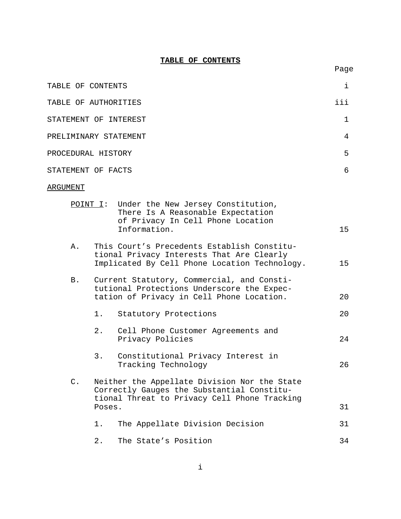### **TABLE OF CONTENTS**

Page

| TABLE OF CONTENTS     |     |
|-----------------------|-----|
| TABLE OF AUTHORITIES  | iii |
| STATEMENT OF INTEREST |     |
| PRELIMINARY STATEMENT | 4   |
| PROCEDURAL HISTORY    | 5   |
| STATEMENT OF FACTS    | 6   |

### ARGUMENT

|                |        | $\underline{POINT I}:$ Under the New Jersey Constitution,<br>There Is A Reasonable Expectation<br>of Privacy In Cell Phone Location<br>Information. | 15 |
|----------------|--------|-----------------------------------------------------------------------------------------------------------------------------------------------------|----|
| Α.             |        | This Court's Precedents Establish Constitu-<br>tional Privacy Interests That Are Clearly<br>Implicated By Cell Phone Location Technology.           | 15 |
| <b>B.</b>      |        | Current Statutory, Commercial, and Consti-<br>tutional Protections Underscore the Expec-<br>tation of Privacy in Cell Phone Location.               | 20 |
|                | 1.     | Statutory Protections                                                                                                                               | 20 |
|                | 2.     | Cell Phone Customer Agreements and<br>Privacy Policies                                                                                              | 24 |
|                | 3.     | Constitutional Privacy Interest in<br>Tracking Technology                                                                                           | 26 |
| $\mathsf{C}$ . |        | Neither the Appellate Division Nor the State<br>Correctly Gauges the Substantial Constitu-<br>tional Threat to Privacy Cell Phone Tracking          |    |
|                | Poses. |                                                                                                                                                     | 31 |
|                | 1.     | The Appellate Division Decision                                                                                                                     | 31 |
|                | $2$ .  | The State's Position                                                                                                                                | 34 |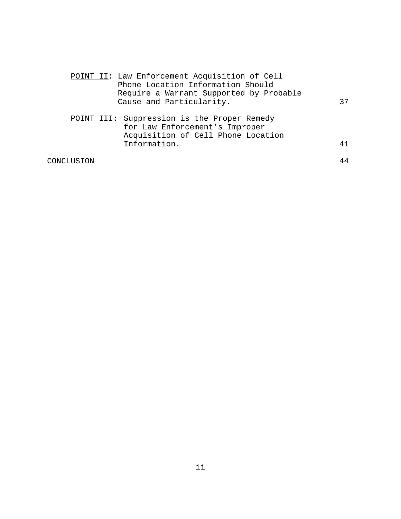|            | POINT II: Law Enforcement Acquisition of Cell<br>Phone Location Information Should                                  |    |
|------------|---------------------------------------------------------------------------------------------------------------------|----|
|            | Require a Warrant Supported by Probable                                                                             |    |
|            |                                                                                                                     |    |
|            | Cause and Particularity.                                                                                            | 37 |
|            | POINT III: Suppression is the Proper Remedy<br>for Law Enforcement's Improper<br>Acquisition of Cell Phone Location |    |
|            | Information.                                                                                                        | 41 |
| CONCLUSION |                                                                                                                     | 44 |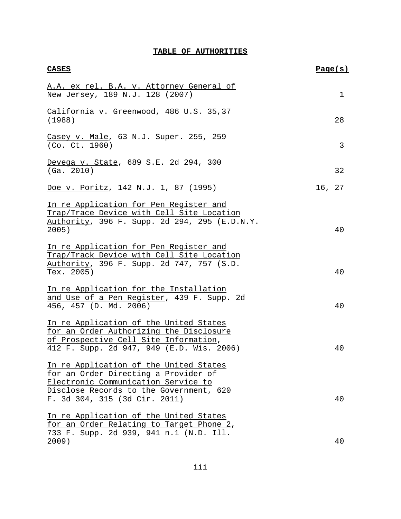# **TABLE OF AUTHORITIES**

| <b>CASES</b>                                                                                                                                                                                      | Page(s) |    |
|---------------------------------------------------------------------------------------------------------------------------------------------------------------------------------------------------|---------|----|
| A.A. ex rel. B.A. v. Attorney General of<br>New Jersey, 189 N.J. 128 (2007)                                                                                                                       |         | 1  |
| California v. Greenwood, 486 U.S. 35,37<br>(1988)                                                                                                                                                 |         | 28 |
| Casey v. Male, 63 N.J. Super. 255, 259<br>(Co. Ct. 1960)                                                                                                                                          |         | 3  |
| Devega v. State, 689 S.E. 2d 294, 300<br>(Ga. 2010)                                                                                                                                               |         | 32 |
| Doe v. Poritz, 142 N.J. 1, 87 (1995)                                                                                                                                                              | 16, 27  |    |
| In re Application for Pen Register and<br>Trap/Trace Device with Cell Site Location<br>Authority, 396 F. Supp. 2d 294, 295 (E.D.N.Y.<br>2005)                                                     |         | 40 |
| In re Application for Pen Register and<br>Trap/Track Device with Cell Site Location<br>Authority, 396 F. Supp. 2d 747, 757 (S.D.<br>Tex. 2005)                                                    |         | 40 |
| In re Application for the Installation<br>and Use of a Pen Register, 439 F. Supp. 2d<br>456, 457 (D. Md. 2006)                                                                                    |         | 40 |
| In re Application of the United States<br>for an Order Authorizing the Disclosure<br>of Prospective Cell Site Information,<br>412 F. Supp. 2d 947, 949 (E.D. Wis. 2006)                           |         | 40 |
| In re Application of the United States<br>for an Order Directing a Provider of<br>Electronic Communication Service to<br>Disclose Records to the Government, 620<br>F. 3d 304, 315 (3d Cir. 2011) |         | 40 |
| In re Application of the United States<br>for an Order Relating to Target Phone 2,<br>733 F. Supp. 2d 939, 941 n.1 (N.D. Ill.<br>2009)                                                            |         | 40 |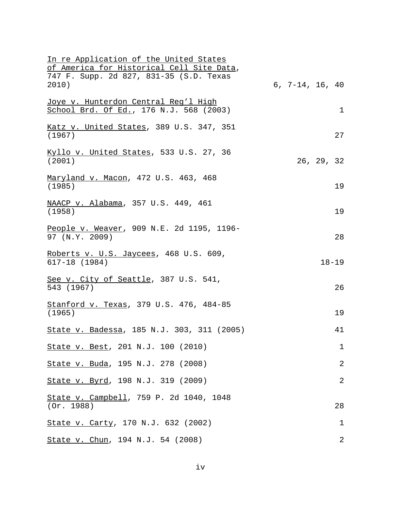| In re Application of the United States<br>of America for Historical Cell Site Data,    |                   |            |                |
|----------------------------------------------------------------------------------------|-------------------|------------|----------------|
| 747 F. Supp. 2d 827, 831-35 (S.D. Texas<br>2010)                                       | $6, 7-14, 16, 40$ |            |                |
| <u>Joye v. Hunterdon Central Reg'l High</u><br>School Brd. Of Ed., 176 N.J. 568 (2003) |                   |            | $\mathbf{1}$   |
| Katz v. United States, 389 U.S. 347, 351<br>(1967)                                     |                   |            | 27             |
| Kyllo v. United States, 533 U.S. 27, 36<br>(2001)                                      |                   | 26, 29, 32 |                |
| Maryland v. Macon, 472 U.S. 463, 468<br>(1985)                                         |                   |            | 19             |
| NAACP v. Alabama, 357 U.S. 449, 461<br>(1958)                                          |                   |            | 19             |
| People v. Weaver, 909 N.E. 2d 1195, 1196-<br>97 (N.Y. 2009)                            |                   |            | 28             |
| Roberts v. U.S. Jaycees, 468 U.S. 609,<br>$617 - 18$ (1984)                            |                   |            | $18 - 19$      |
| See v. City of Seattle, 387 U.S. 541,<br>543 (1967)                                    |                   |            | 26             |
| Stanford v. Texas, 379 U.S. 476, 484-85<br>(1965)                                      |                   |            | 19             |
| State v. Badessa, 185 N.J. 303, 311 (2005)                                             |                   |            | 41             |
| State v. Best, 201 N.J. 100 (2010)                                                     |                   |            | $\mathbf 1$    |
| State v. Buda, 195 N.J. 278 (2008)                                                     |                   |            | 2              |
| State v. Byrd, 198 N.J. 319 (2009)                                                     |                   |            | $\overline{2}$ |
| State v. Campbell, 759 P. 2d 1040, 1048<br>(Or. 1988)                                  |                   |            | 28             |
| State v. Carty, 170 N.J. 632 (2002)                                                    |                   |            | 1              |
| State v. Chun, 194 N.J. 54 (2008)                                                      |                   |            | 2              |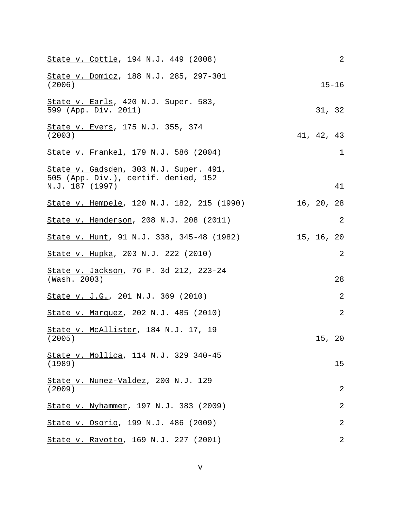| State v. Cottle, 194 N.J. 449 (2008)                                                              | $\overline{2}$ |
|---------------------------------------------------------------------------------------------------|----------------|
| State v. Domicz, 188 N.J. 285, 297-301<br>(2006)                                                  | $15 - 16$      |
| State v. Earls, 420 N.J. Super. 583,<br>599 (App. Div. 2011)                                      | 31, 32         |
| State v. Evers, 175 N.J. 355, 374<br>(2003)                                                       | 41, 42, 43     |
| State v. Frankel, 179 N.J. 586 (2004)                                                             | $\mathbf 1$    |
| State v. Gadsden, 303 N.J. Super. 491,<br>505 (App. Div.), certif. denied, 152<br>N.J. 187 (1997) | 41             |
| State v. Hempele, 120 N.J. 182, 215 (1990)                                                        | 16, 20, 28     |
| State v. Henderson, 208 N.J. 208 (2011)                                                           | $\overline{2}$ |
| State v. Hunt, 91 N.J. 338, 345-48 (1982)                                                         | 15, 16, 20     |
| State v. Hupka, 203 N.J. 222 (2010)                                                               | $\overline{2}$ |
| State v. Jackson, 76 P. 3d 212, 223-24<br>(Wash. 2003)                                            | 28             |
| State v. J.G., 201 N.J. 369 (2010)                                                                | $\overline{2}$ |
| State v. Marquez, 202 N.J. 485 (2010)                                                             | $\overline{2}$ |
| State v. McAllister, 184 N.J. 17, 19<br>(2005)                                                    | 15, 20         |
| State v. Mollica, 114 N.J. 329 340-45<br>(1989)                                                   | 15             |
| State v. Nunez-Valdez, 200 N.J. 129<br>(2009)                                                     | $\overline{2}$ |
| State v. Nyhammer, 197 N.J. 383 (2009)                                                            | $\overline{2}$ |
| State v. Osorio, 199 N.J. 486 (2009)                                                              | $\overline{2}$ |
| State v. Ravotto, 169 N.J. 227 (2001)                                                             | $\overline{2}$ |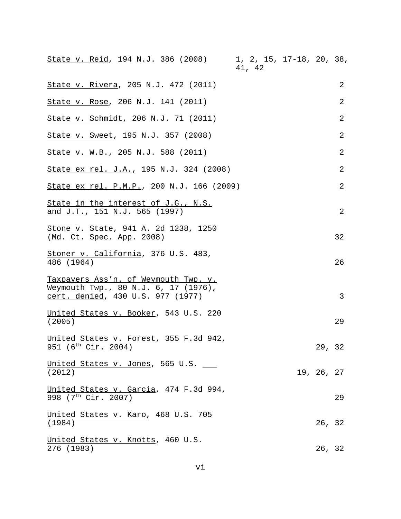| State v. Reid, 194 N.J. 386 (2008) 1, 2, 15, 17-18, 20, 38,                                                       | 41, 42 |            |    |
|-------------------------------------------------------------------------------------------------------------------|--------|------------|----|
| State v. Rivera, 205 N.J. 472 (2011)                                                                              |        |            | 2  |
| State v. Rose, 206 N.J. 141 (2011)                                                                                |        |            | 2  |
| State v. Schmidt, 206 N.J. 71 (2011)                                                                              |        |            | 2  |
| State v. Sweet, 195 N.J. 357 (2008)                                                                               |        |            | 2  |
| State v. W.B., 205 N.J. 588 (2011)                                                                                |        |            | 2  |
| State ex rel. J.A., 195 N.J. 324 (2008)                                                                           |        |            | 2  |
| State ex rel. P.M.P., 200 N.J. 166 (2009)                                                                         |        |            | 2  |
| <u>State in the interest of J.G., N.S.</u><br><u>and J.T.</u> , 151 N.J. 565 (1997)                               |        |            | 2  |
| Stone v. State, 941 A. 2d 1238, 1250<br>(Md. Ct. Spec. App. 2008)                                                 |        |            | 32 |
| Stoner v. California, 376 U.S. 483,<br>486 (1964)                                                                 |        |            | 26 |
| Taxpayers Ass'n. of Weymouth Twp. v.<br>Weymouth Twp., 80 N.J. 6, 17 (1976),<br>cert. denied, 430 U.S. 977 (1977) |        |            | 3  |
| United States v. Booker, 543 U.S. 220<br>(2005)                                                                   |        |            | 29 |
| United States v. Forest, 355 F.3d 942,<br>951 (6 <sup>th</sup> Cir. 2004)                                         |        | 29, 32     |    |
| United States v. Jones, 565 U.S.<br>(2012)                                                                        |        | 19, 26, 27 |    |
| United States v. Garcia, 474 F.3d 994,<br>998 (7 <sup>th</sup> Cir. 2007)                                         |        |            | 29 |
| <u>United States v. Karo</u> , 468 U.S. 705<br>(1984)                                                             |        | 26, 32     |    |
| United States v. Knotts, 460 U.S.<br>276 (1983)                                                                   |        | 26, 32     |    |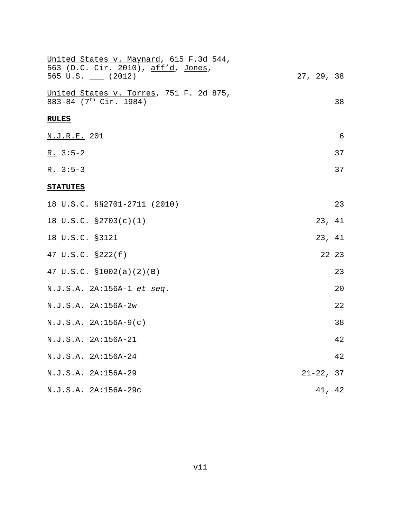| United States v. Maynard, 615 F.3d 544,<br>563 (D.C. Cir. 2010), aff'd, Jones, |               |
|--------------------------------------------------------------------------------|---------------|
| 565 U.S. $\_\_$ (2012)                                                         | 27, 29, 38    |
| United States v. Torres, 751 F. 2d 875,<br>883-84 (7 <sup>th</sup> Cir. 1984)  | 38            |
| <b>RULES</b>                                                                   |               |
| N.J.R.E. 201                                                                   | $\epsilon$    |
| $R. 3:5-2$                                                                     | 37            |
| $R. 3:5-3$                                                                     | 37            |
| <b>STATUTES</b>                                                                |               |
| 18 U.S.C. §§2701-2711 (2010)                                                   | 23            |
| 18 U.S.C. §2703(c)(1)                                                          | 23,<br>41     |
| 18 U.S.C. §3121                                                                | 23, 41        |
| 47 U.S.C. §222(f)                                                              | $22 - 23$     |
| 47 U.S.C. $$1002(a)(2)(B)$                                                     | 23            |
| N.J.S.A. 2A:156A-1 et seq.                                                     | 20            |
| N.J.S.A. 2A:156A-2w                                                            | 22            |
| $N.J.S.A. 2A:156A-9(c)$                                                        | 38            |
| N.J.S.A. 2A:156A-21                                                            | 42            |
| N.J.S.A. 2A:156A-24                                                            | 42            |
| N.J.S.A. 2A:156A-29                                                            | $21 - 22, 37$ |
| N.J.S.A. 2A:156A-29c                                                           | 41, 42        |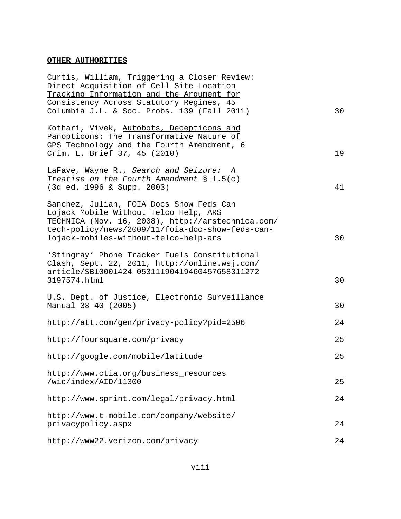### **OTHER AUTHORITIES**

| Curtis, William, Triggering a Closer Review:      |    |
|---------------------------------------------------|----|
| Direct Acquisition of Cell Site Location          |    |
| Tracking Information and the Argument for         |    |
| Consistency Across Statutory Regimes, 45          |    |
| Columbia J.L. & Soc. Probs. 139 (Fall 2011)       | 30 |
| Kothari, Vivek, Autobots, Decepticons and         |    |
| Panopticons: The Transformative Nature of         |    |
| GPS Technology and the Fourth Amendment, 6        |    |
| Crim. L. Brief 37, 45 (2010)                      | 19 |
| LaFave, Wayne R., Search and Seizure: A           |    |
| Treatise on the Fourth Amendment $\S 1.5(c)$      |    |
| (3d ed. 1996 & Supp. 2003)                        | 41 |
|                                                   |    |
| Sanchez, Julian, FOIA Docs Show Feds Can          |    |
| Lojack Mobile Without Telco Help, ARS             |    |
| TECHNICA (Nov. 16, 2008), http://arstechnica.com/ |    |
| tech-policy/news/2009/11/foia-doc-show-feds-can-  |    |
| lojack-mobiles-without-telco-help-ars             | 30 |
| 'Stingray' Phone Tracker Fuels Constitutional     |    |
| Clash, Sept. 22, 2011, http://online.wsj.com/     |    |
| article/SB10001424 05311190419460457658311272     |    |
| 3197574.html                                      | 30 |
|                                                   |    |
| U.S. Dept. of Justice, Electronic Surveillance    |    |
| Manual 38-40 (2005)                               | 30 |
| http://att.com/gen/privacy-policy?pid=2506        | 24 |
|                                                   |    |
| http://foursquare.com/privacy                     | 25 |
|                                                   |    |
| http://google.com/mobile/latitude                 | 25 |
| http://www.ctia.org/business_resources            |    |
| /wic/index/AID/11300                              | 25 |
|                                                   |    |
| http://www.sprint.com/legal/privacy.html          | 24 |
| http://www.t-mobile.com/company/website/          |    |
| privacypolicy.aspx                                | 24 |
| http://www22.verizon.com/privacy                  | 24 |
|                                                   |    |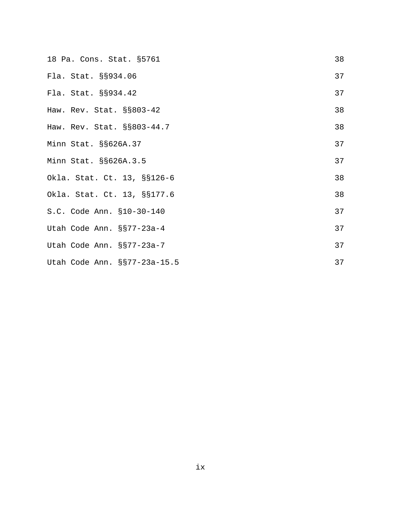| 18 Pa. Cons. Stat. §5761     | 38 |
|------------------------------|----|
| Fla. Stat. §§934.06          | 37 |
| Fla. Stat. §§934.42          | 37 |
| Haw. Rev. Stat. §§803-42     | 38 |
| Haw. Rev. Stat. §§803-44.7   | 38 |
| Minn Stat. §§626A.37         | 37 |
| Minn Stat. §§626A.3.5        | 37 |
| Okla. Stat. Ct. 13, §§126-6  | 38 |
| Okla. Stat. Ct. 13, §§177.6  | 38 |
| S.C. Code Ann. §10-30-140    | 37 |
| Utah Code Ann. §§77-23a-4    | 37 |
| Utah Code Ann. §§77-23a-7    | 37 |
| Utah Code Ann. §§77-23a-15.5 | 37 |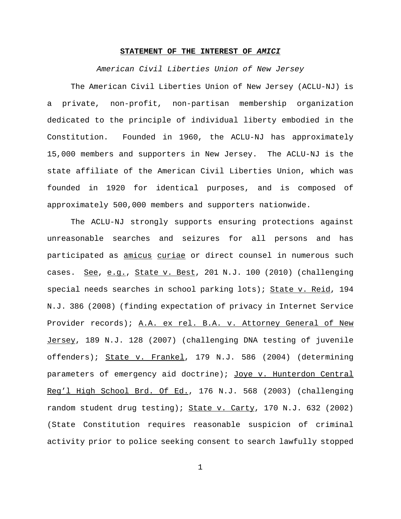### **STATEMENT OF THE INTEREST OF** *AMICI*

*American Civil Liberties Union of New Jersey*

The American Civil Liberties Union of New Jersey (ACLU-NJ) is a private, non-profit, non-partisan membership organization dedicated to the principle of individual liberty embodied in the Constitution. Founded in 1960, the ACLU-NJ has approximately 15,000 members and supporters in New Jersey. The ACLU-NJ is the state affiliate of the American Civil Liberties Union, which was founded in 1920 for identical purposes, and is composed of approximately 500,000 members and supporters nationwide.

The ACLU-NJ strongly supports ensuring protections against unreasonable searches and seizures for all persons and has participated as amicus curiae or direct counsel in numerous such cases. See, e.g., State v. Best, 201 N.J. 100 (2010) (challenging special needs searches in school parking lots); State v. Reid, 194 N.J. 386 (2008) (finding expectation of privacy in Internet Service Provider records); A.A. ex rel. B.A. v. Attorney General of New Jersey, 189 N.J. 128 (2007) (challenging DNA testing of juvenile offenders); State v. Frankel, 179 N.J. 586 (2004) (determining parameters of emergency aid doctrine); Joye v. Hunterdon Central Reg'l High School Brd. Of Ed., 176 N.J. 568 (2003) (challenging random student drug testing); State v. Carty, 170 N.J. 632 (2002) (State Constitution requires reasonable suspicion of criminal activity prior to police seeking consent to search lawfully stopped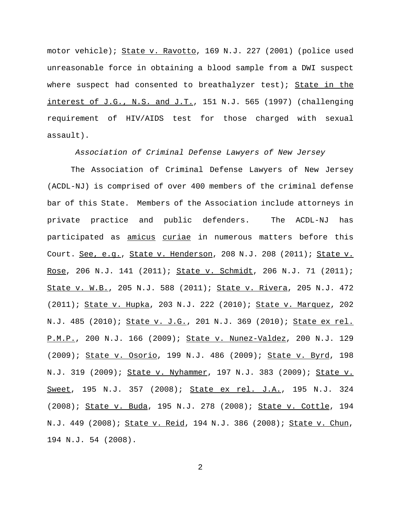motor vehicle); State v. Ravotto, 169 N.J. 227 (2001) (police used unreasonable force in obtaining a blood sample from a DWI suspect where suspect had consented to breathalyzer test); State in the interest of J.G., N.S. and J.T., 151 N.J. 565 (1997) (challenging requirement of HIV/AIDS test for those charged with sexual assault).

*Association of Criminal Defense Lawyers of New Jersey*

The Association of Criminal Defense Lawyers of New Jersey (ACDL-NJ) is comprised of over 400 members of the criminal defense bar of this State. Members of the Association include attorneys in private practice and public defenders. The ACDL-NJ has participated as amicus curiae in numerous matters before this Court. See, e.g., State v. Henderson, 208 N.J. 208 (2011); State v. Rose, 206 N.J. 141 (2011); State v. Schmidt, 206 N.J. 71 (2011); State v. W.B., 205 N.J. 588 (2011); State v. Rivera, 205 N.J. 472 (2011); State v. Hupka, 203 N.J. 222 (2010); State v. Marquez, 202 N.J. 485 (2010); State v. J.G., 201 N.J. 369 (2010); State ex rel. P.M.P., 200 N.J. 166 (2009); State v. Nunez-Valdez, 200 N.J. 129 (2009); State v. Osorio, 199 N.J. 486 (2009); State v. Byrd, 198 N.J. 319 (2009); State v. Nyhammer, 197 N.J. 383 (2009); State v. Sweet, 195 N.J. 357 (2008); State ex rel. J.A., 195 N.J. 324 (2008); State v. Buda, 195 N.J. 278 (2008); State v. Cottle, 194 N.J. 449 (2008); State v. Reid, 194 N.J. 386 (2008); State v. Chun, 194 N.J. 54 (2008).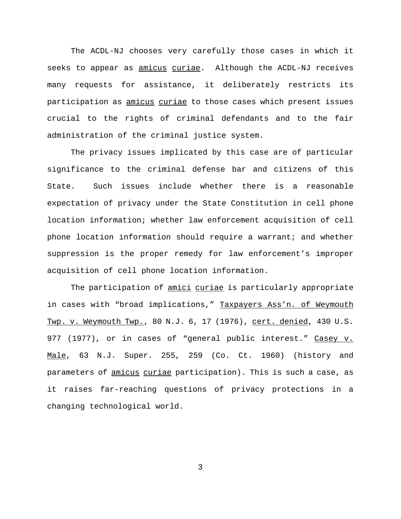The ACDL-NJ chooses very carefully those cases in which it seeks to appear as amicus curiae. Although the ACDL-NJ receives many requests for assistance, it deliberately restricts its participation as amicus curiae to those cases which present issues crucial to the rights of criminal defendants and to the fair administration of the criminal justice system.

The privacy issues implicated by this case are of particular significance to the criminal defense bar and citizens of this State. Such issues include whether there is a reasonable expectation of privacy under the State Constitution in cell phone location information; whether law enforcement acquisition of cell phone location information should require a warrant; and whether suppression is the proper remedy for law enforcement's improper acquisition of cell phone location information.

The participation of amici curiae is particularly appropriate in cases with "broad implications," Taxpayers Ass'n. of Weymouth Twp. v. Weymouth Twp., 80 N.J. 6, 17 (1976), cert. denied, 430 U.S. 977 (1977), or in cases of "general public interest." Casey v. Male, 63 N.J. Super. 255, 259 (Co. Ct. 1960) (history and parameters of amicus curiae participation). This is such a case, as it raises far-reaching questions of privacy protections in a changing technological world.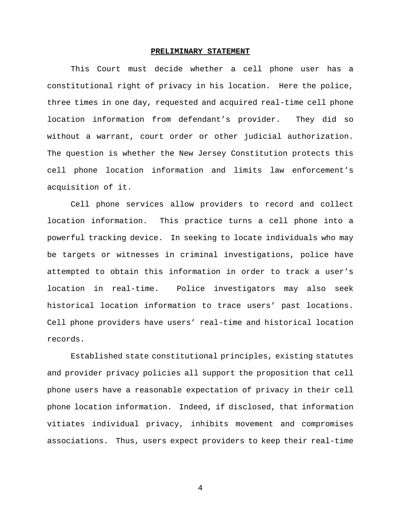#### **PRELIMINARY STATEMENT**

This Court must decide whether a cell phone user has a constitutional right of privacy in his location. Here the police, three times in one day, requested and acquired real-time cell phone location information from defendant's provider. They did so without a warrant, court order or other judicial authorization. The question is whether the New Jersey Constitution protects this cell phone location information and limits law enforcement's acquisition of it.

Cell phone services allow providers to record and collect location information. This practice turns a cell phone into a powerful tracking device. In seeking to locate individuals who may be targets or witnesses in criminal investigations, police have attempted to obtain this information in order to track a user's location in real-time. Police investigators may also seek historical location information to trace users' past locations. Cell phone providers have users' real-time and historical location records.

Established state constitutional principles, existing statutes and provider privacy policies all support the proposition that cell phone users have a reasonable expectation of privacy in their cell phone location information. Indeed, if disclosed, that information vitiates individual privacy, inhibits movement and compromises associations. Thus, users expect providers to keep their real-time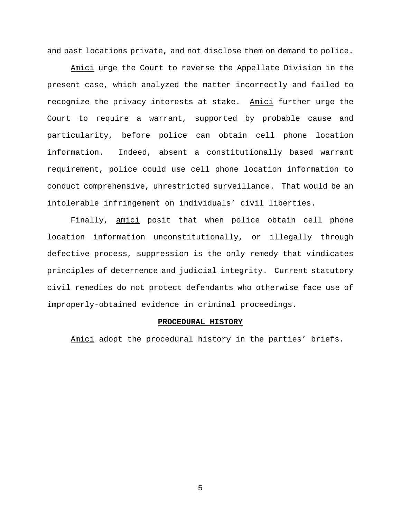and past locations private, and not disclose them on demand to police.

Amici urge the Court to reverse the Appellate Division in the present case, which analyzed the matter incorrectly and failed to recognize the privacy interests at stake. Amici further urge the Court to require a warrant, supported by probable cause and particularity, before police can obtain cell phone location information. Indeed, absent a constitutionally based warrant requirement, police could use cell phone location information to conduct comprehensive, unrestricted surveillance. That would be an intolerable infringement on individuals' civil liberties.

Finally, amici posit that when police obtain cell phone location information unconstitutionally, or illegally through defective process, suppression is the only remedy that vindicates principles of deterrence and judicial integrity. Current statutory civil remedies do not protect defendants who otherwise face use of improperly-obtained evidence in criminal proceedings.

#### **PROCEDURAL HISTORY**

Amici adopt the procedural history in the parties' briefs.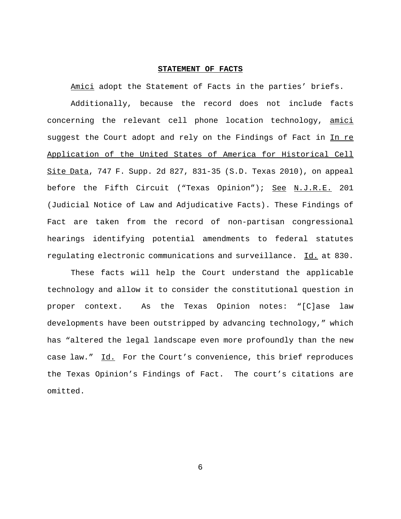#### **STATEMENT OF FACTS**

Amici adopt the Statement of Facts in the parties' briefs.

Additionally, because the record does not include facts concerning the relevant cell phone location technology, amici suggest the Court adopt and rely on the Findings of Fact in In re Application of the United States of America for Historical Cell Site Data, 747 F. Supp. 2d 827, 831-35 (S.D. Texas 2010), on appeal before the Fifth Circuit ("Texas Opinion"); See N.J.R.E. 201 (Judicial Notice of Law and Adjudicative Facts). These Findings of Fact are taken from the record of non-partisan congressional hearings identifying potential amendments to federal statutes regulating electronic communications and surveillance. Id. at 830.

These facts will help the Court understand the applicable technology and allow it to consider the constitutional question in proper context. As the Texas Opinion notes: "[C]ase law developments have been outstripped by advancing technology," which has "altered the legal landscape even more profoundly than the new case law." Id. For the Court's convenience, this brief reproduces the Texas Opinion's Findings of Fact. The court's citations are omitted.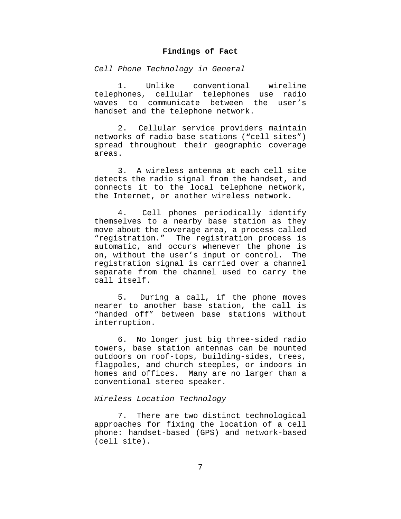### **Findings of Fact**

*Cell Phone Technology in General*

1. Unlike conventional wireline telephones, cellular telephones use radio waves to communicate between the user's handset and the telephone network.

2. Cellular service providers maintain networks of radio base stations ("cell sites") spread throughout their geographic coverage areas.

3. A wireless antenna at each cell site detects the radio signal from the handset, and connects it to the local telephone network, the Internet, or another wireless network.

4. Cell phones periodically identify themselves to a nearby base station as they move about the coverage area, a process called "registration." The registration process is automatic, and occurs whenever the phone is on, without the user's input or control. The registration signal is carried over a channel separate from the channel used to carry the call itself.

5. During a call, if the phone moves nearer to another base station, the call is "handed off" between base stations without interruption.

6. No longer just big three-sided radio towers, base station antennas can be mounted outdoors on roof-tops, building-sides, trees, flagpoles, and church steeples, or indoors in homes and offices. Many are no larger than a conventional stereo speaker.

### *Wireless Location Technology*

7. There are two distinct technological approaches for fixing the location of a cell phone: handset-based (GPS) and network-based (cell site).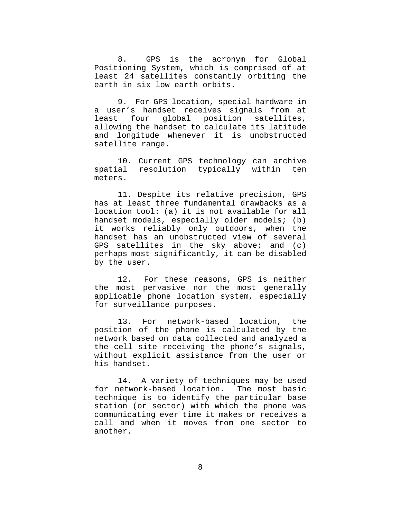8. GPS is the acronym for Global Positioning System, which is comprised of at least 24 satellites constantly orbiting the earth in six low earth orbits.

9. For GPS location, special hardware in a user's handset receives signals from at<br>least four global position satellites, global position satellites, allowing the handset to calculate its latitude and longitude whenever it is unobstructed satellite range.

10. Current GPS technology can archive spatial resolution typically within ten meters.

11. Despite its relative precision, GPS has at least three fundamental drawbacks as a location tool: (a) it is not available for all handset models, especially older models; (b) it works reliably only outdoors, when the handset has an unobstructed view of several GPS satellites in the sky above; and (c) perhaps most significantly, it can be disabled by the user.

12. For these reasons, GPS is neither the most pervasive nor the most generally applicable phone location system, especially for surveillance purposes.

13. For network-based location, the position of the phone is calculated by the network based on data collected and analyzed a the cell site receiving the phone's signals, without explicit assistance from the user or his handset.

14. A variety of techniques may be used for network-based location. The most basic technique is to identify the particular base station (or sector) with which the phone was communicating ever time it makes or receives a call and when it moves from one sector to another.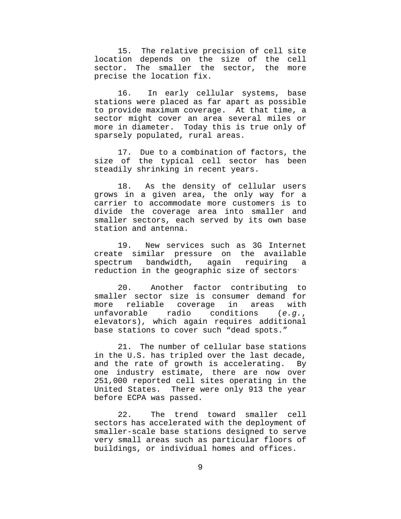15. The relative precision of cell site location depends on the size of the cell sector. The smaller the sector, the more precise the location fix.

16. In early cellular systems, base stations were placed as far apart as possible to provide maximum coverage. At that time, a sector might cover an area several miles or more in diameter. Today this is true only of sparsely populated, rural areas.

17. Due to a combination of factors, the size of the typical cell sector has been steadily shrinking in recent years.

18. As the density of cellular users grows in a given area, the only way for a carrier to accommodate more customers is to divide the coverage area into smaller and smaller sectors, each served by its own base station and antenna.

19. New services such as 3G Internet create similar pressure on the available spectrum bandwidth, again requiring a reduction in the geographic size of sectors.

20. Another factor contributing to smaller sector size is consumer demand for more reliable coverage in areas with unfavorable radio conditions (*e.g.*, elevators), which again requires additional base stations to cover such "dead spots."

21. The number of cellular base stations in the U.S. has tripled over the last decade, and the rate of growth is accelerating. By one industry estimate, there are now over 251,000 reported cell sites operating in the United States. There were only 913 the year before ECPA was passed.

22. The trend toward smaller cell sectors has accelerated with the deployment of smaller-scale base stations designed to serve very small areas such as particular floors of buildings, or individual homes and offices.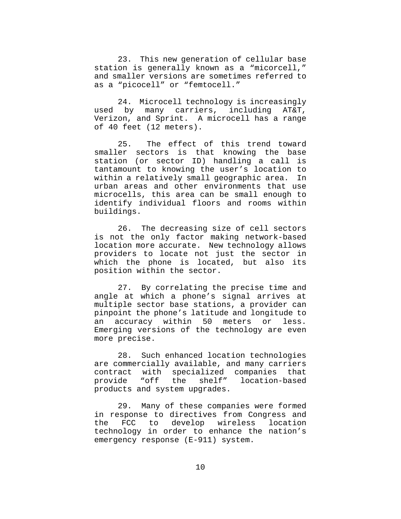23. This new generation of cellular base station is generally known as a "micorcell," and smaller versions are sometimes referred to as a "picocell" or "femtocell."

24. Microcell technology is increasingly used by many carriers, including AT&T, Verizon, and Sprint. A microcell has a range of 40 feet (12 meters).

25. The effect of this trend toward smaller sectors is that knowing the base station (or sector ID) handling a call is tantamount to knowing the user's location to within a relatively small geographic area. In urban areas and other environments that use microcells, this area can be small enough to identify individual floors and rooms within buildings.

26. The decreasing size of cell sectors is not the only factor making network-based location more accurate. New technology allows providers to locate not just the sector in which the phone is located, but also its position within the sector.

27. By correlating the precise time and angle at which a phone's signal arrives at multiple sector base stations, a provider can pinpoint the phone's latitude and longitude to an accuracy within 50 meters or less. Emerging versions of the technology are even more precise.

28. Such enhanced location technologies are commercially available, and many carriers contract with specialized companies that provide "off the shelf" location-based products and system upgrades.

29. Many of these companies were formed in response to directives from Congress and the FCC to develop wireless location technology in order to enhance the nation's emergency response (E-911) system.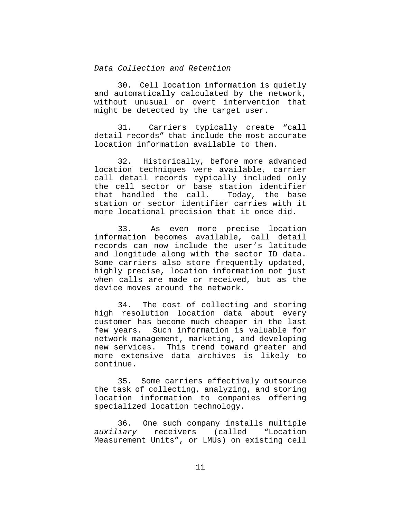### *Data Collection and Retention*

30. Cell location information is quietly and automatically calculated by the network, without unusual or overt intervention that might be detected by the target user.

31. Carriers typically create "call detail records" that include the most accurate location information available to them.

32. Historically, before more advanced location techniques were available, carrier call detail records typically included only the cell sector or base station identifier that handled the call. Today, the base station or sector identifier carries with it more locational precision that it once did.

33. As even more precise location information becomes available, call detail records can now include the user's latitude and longitude along with the sector ID data. Some carriers also store frequently updated, highly precise, location information not just when calls are made or received, but as the device moves around the network.

34. The cost of collecting and storing high resolution location data about every customer has become much cheaper in the last few years. Such information is valuable for network management, marketing, and developing new services. This trend toward greater and more extensive data archives is likely to continue.

35. Some carriers effectively outsource the task of collecting, analyzing, and storing location information to companies offering specialized location technology.

36. One such company installs multiple *auxiliary* receivers (called "Location Measurement Units", or LMUs) on existing cell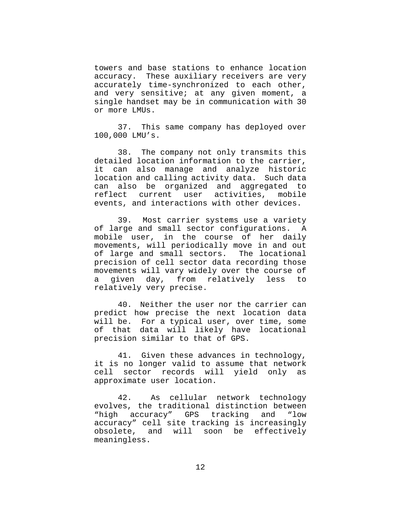towers and base stations to enhance location accuracy. These auxiliary receivers are very accurately time-synchronized to each other, and very sensitive; at any given moment, a single handset may be in communication with 30 or more LMUs.

37. This same company has deployed over 100,000 LMU's.

38. The company not only transmits this detailed location information to the carrier, it can also manage and analyze historic location and calling activity data. Such data can also be organized and aggregated to reflect current user activities, mobile events, and interactions with other devices.

39. Most carrier systems use a variety of large and small sector configurations. A mobile user, in the course of her daily movements, will periodically move in and out of large and small sectors. The locational precision of cell sector data recording those movements will vary widely over the course of a given day, from relatively less to relatively very precise.

40. Neither the user nor the carrier can predict how precise the next location data will be. For a typical user, over time, some of that data will likely have locational precision similar to that of GPS.

41. Given these advances in technology, it is no longer valid to assume that network cell sector records will yield only as approximate user location.

42. As cellular network technology evolves, the traditional distinction between "high accuracy" GPS tracking and "low accuracy" cell site tracking is increasingly obsolete, and will soon be effectively meaningless.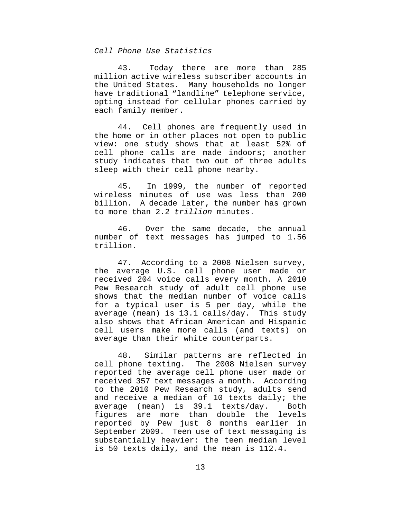### *Cell Phone Use Statistics*

43. Today there are more than 285 million active wireless subscriber accounts in the United States. Many households no longer have traditional "landline" telephone service, opting instead for cellular phones carried by each family member.

44. Cell phones are frequently used in the home or in other places not open to public view: one study shows that at least 52% of cell phone calls are made indoors; another study indicates that two out of three adults sleep with their cell phone nearby.

45. In 1999, the number of reported wireless minutes of use was less than 200 billion. A decade later, the number has grown to more than 2.2 *trillion* minutes.

46. Over the same decade, the annual number of text messages has jumped to 1.56 trillion.

47. According to a 2008 Nielsen survey, the average U.S. cell phone user made or received 204 voice calls every month. A 2010 Pew Research study of adult cell phone use shows that the median number of voice calls for a typical user is 5 per day, while the average (mean) is 13.1 calls/day. This study also shows that African American and Hispanic cell users make more calls (and texts) on average than their white counterparts.

48. Similar patterns are reflected in cell phone texting. The 2008 Nielsen survey reported the average cell phone user made or received 357 text messages a month. According to the 2010 Pew Research study, adults send and receive a median of 10 texts daily; the average (mean) is 39.1 texts/day. Both figures are more than double the levels reported by Pew just 8 months earlier in September 2009. Teen use of text messaging is substantially heavier: the teen median level is 50 texts daily, and the mean is 112.4.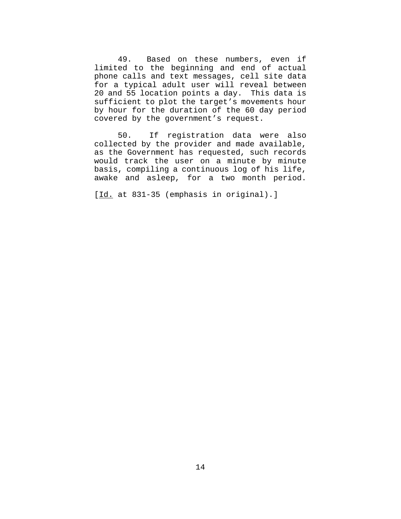49. Based on these numbers, even if limited to the beginning and end of actual phone calls and text messages, cell site data for a typical adult user will reveal between 20 and 55 location points a day. This data is sufficient to plot the target's movements hour by hour for the duration of the 60 day period covered by the government's request.

50. If registration data were also collected by the provider and made available, as the Government has requested, such records would track the user on a minute by minute basis, compiling a continuous log of his life, awake and asleep, for a two month period.

[Id. at 831-35 (emphasis in original).]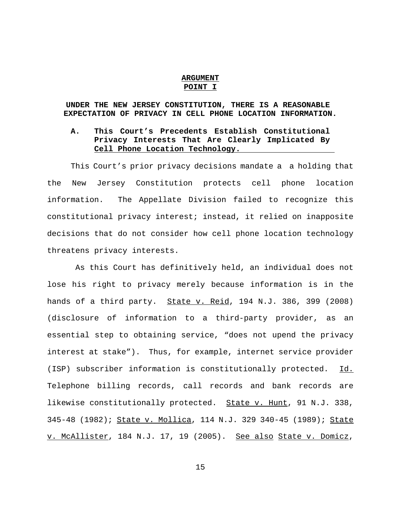### **ARGUMENT POINT I**

# **UNDER THE NEW JERSEY CONSTITUTION, THERE IS A REASONABLE EXPECTATION OF PRIVACY IN CELL PHONE LOCATION INFORMATION.**

# **A. This Court's Precedents Establish Constitutional Privacy Interests That Are Clearly Implicated By Cell Phone Location Technology.**

This Court's prior privacy decisions mandate a a holding that the New Jersey Constitution protects cell phone location information. The Appellate Division failed to recognize this constitutional privacy interest; instead, it relied on inapposite decisions that do not consider how cell phone location technology threatens privacy interests.

 As this Court has definitively held, an individual does not lose his right to privacy merely because information is in the hands of a third party. State v. Reid, 194 N.J. 386, 399 (2008) (disclosure of information to a third-party provider, as an essential step to obtaining service, "does not upend the privacy interest at stake"). Thus, for example, internet service provider (ISP) subscriber information is constitutionally protected. Id. Telephone billing records, call records and bank records are likewise constitutionally protected. State v. Hunt, 91 N.J. 338, 345-48 (1982); State v. Mollica, 114 N.J. 329 340-45 (1989); State v. McAllister, 184 N.J. 17, 19 (2005). See also State v. Domicz,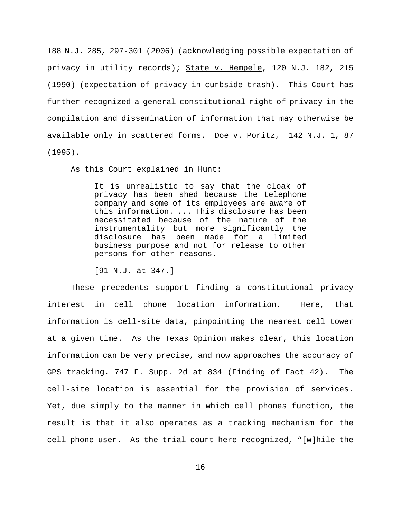188 N.J. 285, 297-301 (2006) (acknowledging possible expectation of privacy in utility records); State v. Hempele, 120 N.J. 182, 215 (1990) (expectation of privacy in curbside trash). This Court has further recognized a general constitutional right of privacy in the compilation and dissemination of information that may otherwise be available only in scattered forms. Doe v. Poritz, 142 N.J. 1, 87 (1995).

As this Court explained in Hunt:

It is unrealistic to say that the cloak of privacy has been shed because the telephone company and some of its employees are aware of this information. ... This disclosure has been necessitated because of the nature of the instrumentality but more significantly the disclosure has been made for a limited business purpose and not for release to other persons for other reasons.

[91 N.J. at 347.]

These precedents support finding a constitutional privacy interest in cell phone location information. Here, that information is cell-site data, pinpointing the nearest cell tower at a given time. As the Texas Opinion makes clear, this location information can be very precise, and now approaches the accuracy of GPS tracking. 747 F. Supp. 2d at 834 (Finding of Fact 42). The cell-site location is essential for the provision of services. Yet, due simply to the manner in which cell phones function, the result is that it also operates as a tracking mechanism for the cell phone user. As the trial court here recognized, "[w]hile the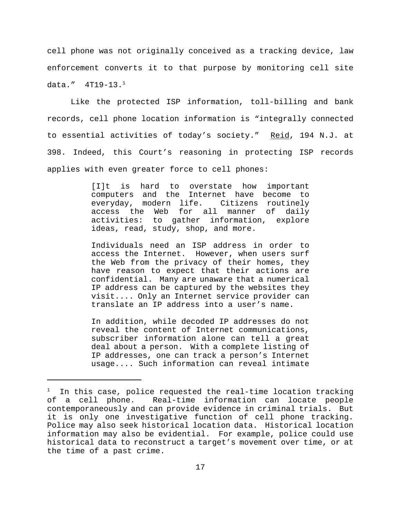cell phone was not originally conceived as a tracking device, law enforcement converts it to that purpose by monitoring cell site data."  $4$ T $19-13.$   $^1$ 

Like the protected ISP information, toll-billing and bank records, cell phone location information is "integrally connected to essential activities of today's society." Reid, 194 N.J. at 398. Indeed, this Court's reasoning in protecting ISP records applies with even greater force to cell phones:

> [I]t is hard to overstate how important computers and the Internet have become to everyday, modern life. Citizens routinely access the Web for all manner of daily activities: to gather information, explore ideas, read, study, shop, and more.

> Individuals need an ISP address in order to access the Internet. However, when users surf the Web from the privacy of their homes, they have reason to expect that their actions are confidential. Many are unaware that a numerical IP address can be captured by the websites they visit.... Only an Internet service provider can translate an IP address into a user's name.

> In addition, while decoded IP addresses do not reveal the content of Internet communications, subscriber information alone can tell a great deal about a person. With a complete listing of IP addresses, one can track a person's Internet usage.... Such information can reveal intimate

 $^\text{1}$  In this case, police requested the real-time location tracking of a cell phone. Real-time information can locate people contemporaneously and can provide evidence in criminal trials. But it is only one investigative function of cell phone tracking. Police may also seek historical location data. Historical location information may also be evidential. For example, police could use historical data to reconstruct a target's movement over time, or at the time of a past crime.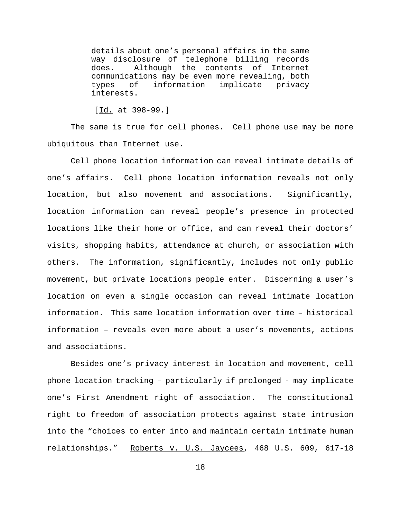details about one's personal affairs in the same way disclosure of telephone billing records does. Although the contents of Internet communications may be even more revealing, both types of information implicate privacy interests.

[Id. at 398-99.]

The same is true for cell phones. Cell phone use may be more ubiquitous than Internet use.

Cell phone location information can reveal intimate details of one's affairs. Cell phone location information reveals not only location, but also movement and associations. Significantly, location information can reveal people's presence in protected locations like their home or office, and can reveal their doctors' visits, shopping habits, attendance at church, or association with others. The information, significantly, includes not only public movement, but private locations people enter. Discerning a user's location on even a single occasion can reveal intimate location information. This same location information over time – historical information – reveals even more about a user's movements, actions and associations.

Besides one's privacy interest in location and movement, cell phone location tracking – particularly if prolonged - may implicate one's First Amendment right of association. The constitutional right to freedom of association protects against state intrusion into the "choices to enter into and maintain certain intimate human relationships." Roberts v. U.S. Jaycees, 468 U.S. 609, 617-18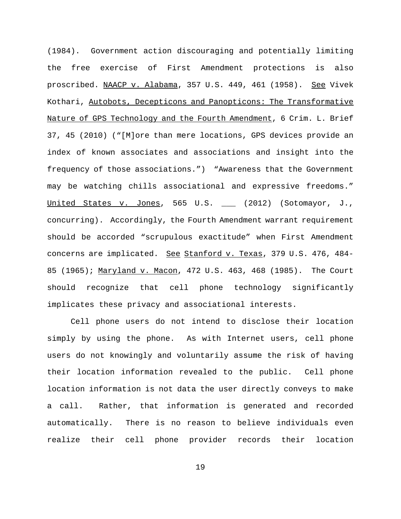(1984). Government action discouraging and potentially limiting the free exercise of First Amendment protections is also proscribed. NAACP v. Alabama, 357 U.S. 449, 461 (1958). See Vivek Kothari, Autobots, Decepticons and Panopticons: The Transformative Nature of GPS Technology and the Fourth Amendment, 6 Crim. L. Brief 37, 45 (2010) ("[M]ore than mere locations, GPS devices provide an index of known associates and associations and insight into the frequency of those associations.") "Awareness that the Government may be watching chills associational and expressive freedoms." United States v. Jones, 565 U.S. \_\_\_ (2012) (Sotomayor, J., concurring). Accordingly, the Fourth Amendment warrant requirement should be accorded "scrupulous exactitude" when First Amendment concerns are implicated. See Stanford v. Texas, 379 U.S. 476, 484-85 (1965); Maryland v. Macon, 472 U.S. 463, 468 (1985). The Court should recognize that cell phone technology significantly implicates these privacy and associational interests.

Cell phone users do not intend to disclose their location simply by using the phone. As with Internet users, cell phone users do not knowingly and voluntarily assume the risk of having their location information revealed to the public. Cell phone location information is not data the user directly conveys to make a call. Rather, that information is generated and recorded automatically. There is no reason to believe individuals even realize their cell phone provider records their location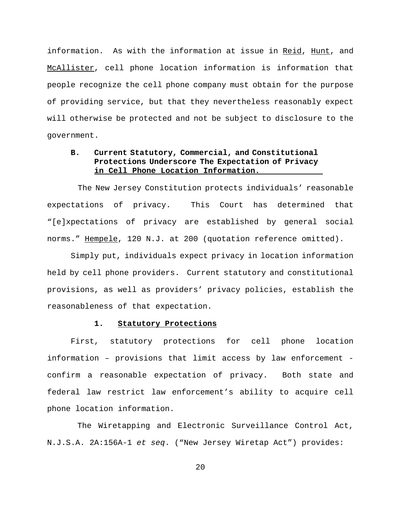information. As with the information at issue in Reid, Hunt, and McAllister, cell phone location information is information that people recognize the cell phone company must obtain for the purpose of providing service, but that they nevertheless reasonably expect will otherwise be protected and not be subject to disclosure to the government.

# **B. Current Statutory, Commercial, and Constitutional Protections Underscore The Expectation of Privacy in Cell Phone Location Information.**

 The New Jersey Constitution protects individuals' reasonable expectations of privacy. This Court has determined that "[e]xpectations of privacy are established by general social norms." Hempele, 120 N.J. at 200 (quotation reference omitted).

Simply put, individuals expect privacy in location information held by cell phone providers. Current statutory and constitutional provisions, as well as providers' privacy policies, establish the reasonableness of that expectation.

### **1. Statutory Protections**

First, statutory protections for cell phone location information – provisions that limit access by law enforcement confirm a reasonable expectation of privacy. Both state and federal law restrict law enforcement's ability to acquire cell phone location information.

 The Wiretapping and Electronic Surveillance Control Act, N.J.S.A. 2A:156A-1 *et seq*. ("New Jersey Wiretap Act") provides: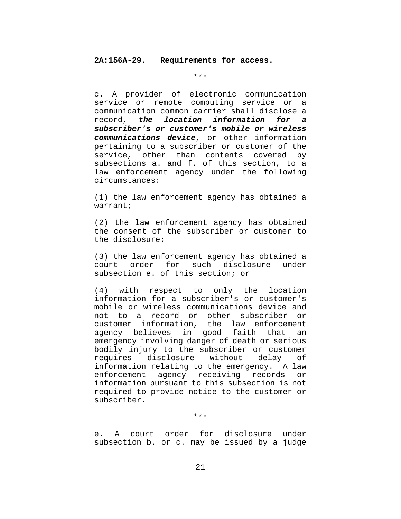### **2A:156A-29. Requirements for access.**

\*\*\*

c. A provider of electronic communication service or remote computing service or a communication common carrier shall disclose a record, *the location information for a subscriber's or customer's mobile or wireless communications device*, or other information pertaining to a subscriber or customer of the service, other than contents covered by subsections a. and f. of this section, to a law enforcement agency under the following circumstances:

(1) the law enforcement agency has obtained a warrant;

(2) the law enforcement agency has obtained the consent of the subscriber or customer to the disclosure;

(3) the law enforcement agency has obtained a court order for such disclosure under subsection e. of this section; or

(4) with respect to only the location information for a subscriber's or customer's mobile or wireless communications device and not to a record or other subscriber or customer information, the law enforcement agency believes in good faith that an emergency involving danger of death or serious bodily injury to the subscriber or customer requires disclosure without delay of information relating to the emergency. A law enforcement agency receiving records or information pursuant to this subsection is not required to provide notice to the customer or subscriber.

\*\*\*

e. A court order for disclosure under subsection b. or c. may be issued by a judge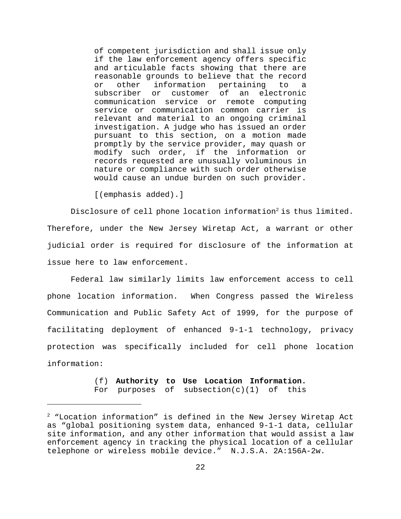of competent jurisdiction and shall issue only if the law enforcement agency offers specific and articulable facts showing that there are reasonable grounds to believe that the record or other information pertaining to a subscriber or customer of an electronic communication service or remote computing service or communication common carrier is relevant and material to an ongoing criminal investigation. A judge who has issued an order pursuant to this section, on a motion made promptly by the service provider, may quash or modify such order, if the information or records requested are unusually voluminous in nature or compliance with such order otherwise would cause an undue burden on such provider.

[(emphasis added).]

Disclosure of cell phone location information<sup>2</sup> is thus limited. Therefore, under the New Jersey Wiretap Act, a warrant or other judicial order is required for disclosure of the information at issue here to law enforcement.

Federal law similarly limits law enforcement access to cell phone location information. When Congress passed the Wireless Communication and Public Safety Act of 1999, for the purpose of facilitating deployment of enhanced 9-1-1 technology, privacy protection was specifically included for cell phone location information:

> (f) **Authority to Use Location Information.**  For purposes of subsection $(c)(1)$  of this

 $2$  "Location information" is defined in the New Jersey Wiretap Act as "global positioning system data, enhanced 9-1-1 data, cellular site information, and any other information that would assist a law enforcement agency in tracking the physical location of a cellular telephone or wireless mobile device." N.J.S.A. 2A:156A-2w.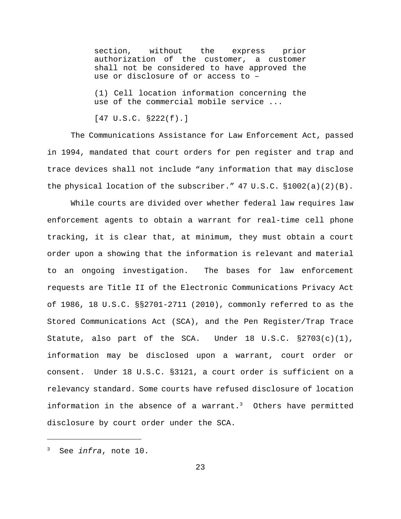section, without the express prior authorization of the customer, a customer shall not be considered to have approved the use or disclosure of or access to –

(1) Cell location information concerning the use of the commercial mobile service ...

[47 U.S.C. §222(f).]

The Communications Assistance for Law Enforcement Act, passed in 1994, mandated that court orders for pen register and trap and trace devices shall not include "any information that may disclose the physical location of the subscriber."  $47 \text{ U.S.C. } $1002(a)(2)(B)$ .

While courts are divided over whether federal law requires law enforcement agents to obtain a warrant for real-time cell phone tracking, it is clear that, at minimum, they must obtain a court order upon a showing that the information is relevant and material to an ongoing investigation. The bases for law enforcement requests are Title II of the Electronic Communications Privacy Act of 1986, 18 U.S.C. §§2701-2711 (2010), commonly referred to as the Stored Communications Act (SCA), and the Pen Register/Trap Trace Statute, also part of the SCA. Under 18 U.S.C. §2703(c)(1), information may be disclosed upon a warrant, court order or consent. Under 18 U.S.C. §3121, a court order is sufficient on a relevancy standard. Some courts have refused disclosure of location information in the absence of a warrant.<sup>3</sup> Others have permitted disclosure by court order under the SCA.

<sup>3</sup> See *infra*, note 10.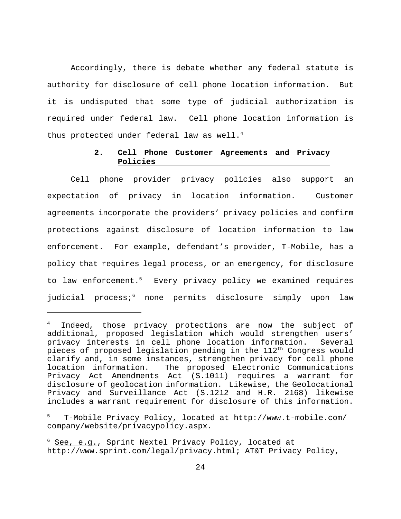Accordingly, there is debate whether any federal statute is authority for disclosure of cell phone location information. But it is undisputed that some type of judicial authorization is required under federal law. Cell phone location information is thus protected under federal law as well. $4$ 

## **2. Cell Phone Customer Agreements and Privacy Policies**

Cell phone provider privacy policies also support an expectation of privacy in location information. Customer agreements incorporate the providers' privacy policies and confirm protections against disclosure of location information to law enforcement. For example, defendant's provider, T-Mobile, has a policy that requires legal process, or an emergency, for disclosure to law enforcement.<sup>5</sup> Every privacy policy we examined requires judicial process;<sup>6</sup> none permits disclosure simply upon law

<sup>4</sup> Indeed, those privacy protections are now the subject of additional, proposed legislation which would strengthen users' privacy interests in cell phone location information. Several pieces of proposed legislation pending in the  $112<sup>th</sup>$  Congress would clarify and, in some instances, strengthen privacy for cell phone location information. The proposed Electronic Communications Privacy Act Amendments Act (S.1011) requires a warrant for disclosure of geolocation information. Likewise, the Geolocational Privacy and Surveillance Act (S.1212 and H.R. 2168) likewise includes a warrant requirement for disclosure of this information.

<sup>5</sup> T-Mobile Privacy Policy, located at http://www.t-mobile.com/ company/website/privacypolicy.aspx.

<sup>&</sup>lt;sup>6</sup> See, e.g., Sprint Nextel Privacy Policy, located at http://www.sprint.com/legal/privacy.html; AT&T Privacy Policy,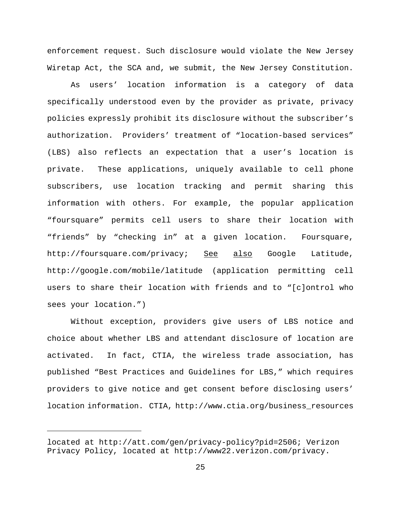enforcement request. Such disclosure would violate the New Jersey Wiretap Act, the SCA and, we submit, the New Jersey Constitution.

As users' location information is a category of data specifically understood even by the provider as private, privacy policies expressly prohibit its disclosure without the subscriber's authorization. Providers' treatment of "location-based services" (LBS) also reflects an expectation that a user's location is private. These applications, uniquely available to cell phone subscribers, use location tracking and permit sharing this information with others. For example, the popular application "foursquare" permits cell users to share their location with "friends" by "checking in" at a given location. Foursquare, http://foursquare.com/privacy; See also Google Latitude, http://google.com/mobile/latitude (application permitting cell users to share their location with friends and to "[c]ontrol who sees your location.")

Without exception, providers give users of LBS notice and choice about whether LBS and attendant disclosure of location are activated. In fact, CTIA, the wireless trade association, has published "Best Practices and Guidelines for LBS," which requires providers to give notice and get consent before disclosing users' location information. CTIA, http://www.ctia.org/business\_resources

located at http://att.com/gen/privacy-policy?pid=2506; Verizon Privacy Policy, located at http://www22.verizon.com/privacy.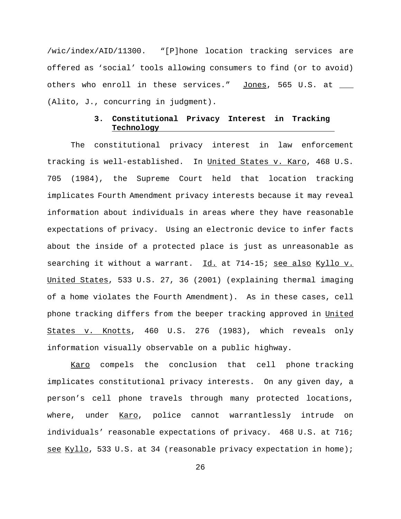/wic/index/AID/11300. "[P]hone location tracking services are offered as 'social' tools allowing consumers to find (or to avoid) others who enroll in these services." Jones, 565 U.S. at \_\_\_ (Alito, J., concurring in judgment).

### **3. Constitutional Privacy Interest in Tracking Technology**

The constitutional privacy interest in law enforcement tracking is well-established. In United States v. Karo, 468 U.S. 705 (1984), the Supreme Court held that location tracking implicates Fourth Amendment privacy interests because it may reveal information about individuals in areas where they have reasonable expectations of privacy. Using an electronic device to infer facts about the inside of a protected place is just as unreasonable as searching it without a warrant. Id. at 714-15; see also Kyllo v. United States, 533 U.S. 27, 36 (2001) (explaining thermal imaging of a home violates the Fourth Amendment). As in these cases, cell phone tracking differs from the beeper tracking approved in United States v. Knotts, 460 U.S. 276 (1983), which reveals only information visually observable on a public highway.

 Karo compels the conclusion that cell phone tracking implicates constitutional privacy interests. On any given day, a person's cell phone travels through many protected locations, where, under Karo, police cannot warrantlessly intrude on individuals' reasonable expectations of privacy. 468 U.S. at 716; see Kyllo, 533 U.S. at 34 (reasonable privacy expectation in home);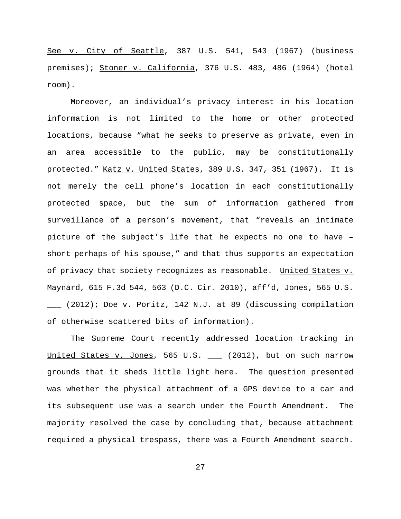See v. City of Seattle, 387 U.S. 541, 543 (1967) (business premises); Stoner v. California, 376 U.S. 483, 486 (1964) (hotel room).

Moreover, an individual's privacy interest in his location information is not limited to the home or other protected locations, because "what he seeks to preserve as private, even in an area accessible to the public, may be constitutionally protected." Katz v. United States, 389 U.S. 347, 351 (1967). It is not merely the cell phone's location in each constitutionally protected space, but the sum of information gathered from surveillance of a person's movement, that "reveals an intimate picture of the subject's life that he expects no one to have – short perhaps of his spouse," and that thus supports an expectation of privacy that society recognizes as reasonable. United States v. Maynard, 615 F.3d 544, 563 (D.C. Cir. 2010), aff'd, Jones, 565 U.S. \_\_\_ (2012); Doe v. Poritz, 142 N.J. at 89 (discussing compilation of otherwise scattered bits of information).

The Supreme Court recently addressed location tracking in United States v. Jones, 565 U.S. \_\_\_ (2012), but on such narrow grounds that it sheds little light here. The question presented was whether the physical attachment of a GPS device to a car and its subsequent use was a search under the Fourth Amendment. The majority resolved the case by concluding that, because attachment required a physical trespass, there was a Fourth Amendment search.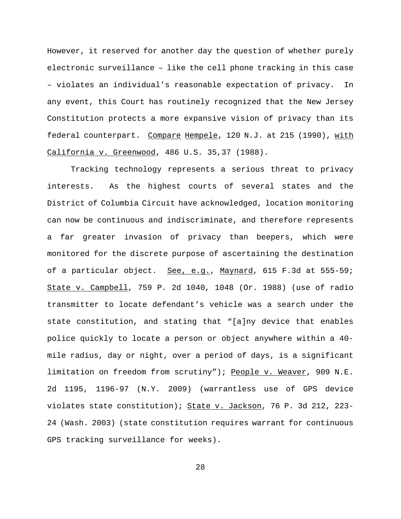However, it reserved for another day the question of whether purely electronic surveillance – like the cell phone tracking in this case – violates an individual's reasonable expectation of privacy. In any event, this Court has routinely recognized that the New Jersey Constitution protects a more expansive vision of privacy than its federal counterpart. Compare Hempele, 120 N.J. at 215 (1990), with California v. Greenwood, 486 U.S. 35,37 (1988).

Tracking technology represents a serious threat to privacy interests. As the highest courts of several states and the District of Columbia Circuit have acknowledged, location monitoring can now be continuous and indiscriminate, and therefore represents a far greater invasion of privacy than beepers, which were monitored for the discrete purpose of ascertaining the destination of a particular object. See, e.g., Maynard, 615 F.3d at 555-59; State v. Campbell, 759 P. 2d 1040, 1048 (Or. 1988) (use of radio transmitter to locate defendant's vehicle was a search under the state constitution, and stating that "[a]ny device that enables police quickly to locate a person or object anywhere within a 40 mile radius, day or night, over a period of days, is a significant limitation on freedom from scrutiny"); People v. Weaver, 909 N.E. 2d 1195, 1196-97 (N.Y. 2009) (warrantless use of GPS device violates state constitution); State v. Jackson, 76 P. 3d 212, 223- 24 (Wash. 2003) (state constitution requires warrant for continuous GPS tracking surveillance for weeks).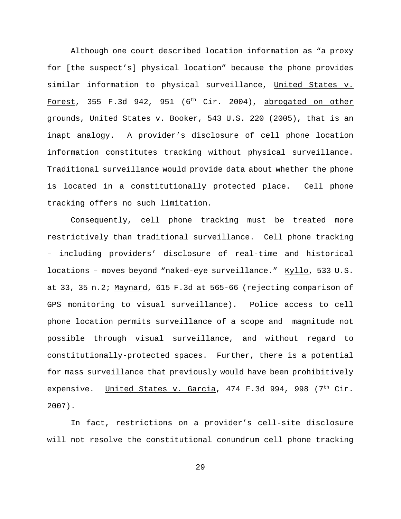Although one court described location information as "a proxy for [the suspect's] physical location" because the phone provides similar information to physical surveillance, United States v. Forest, 355 F.3d 942, 951 (6<sup>th</sup> Cir. 2004), abrogated on other grounds, United States v. Booker, 543 U.S. 220 (2005), that is an inapt analogy. A provider's disclosure of cell phone location information constitutes tracking without physical surveillance. Traditional surveillance would provide data about whether the phone is located in a constitutionally protected place. Cell phone tracking offers no such limitation.

Consequently, cell phone tracking must be treated more restrictively than traditional surveillance. Cell phone tracking – including providers' disclosure of real-time and historical locations - moves beyond "naked-eye surveillance." Kyllo, 533 U.S. at 33, 35 n.2; Maynard, 615 F.3d at 565-66 (rejecting comparison of GPS monitoring to visual surveillance). Police access to cell phone location permits surveillance of a scope and magnitude not possible through visual surveillance, and without regard to constitutionally-protected spaces. Further, there is a potential for mass surveillance that previously would have been prohibitively expensive. United States v. Garcia, 474 F.3d 994, 998 (7<sup>th</sup> Cir. 2007).

In fact, restrictions on a provider's cell-site disclosure will not resolve the constitutional conundrum cell phone tracking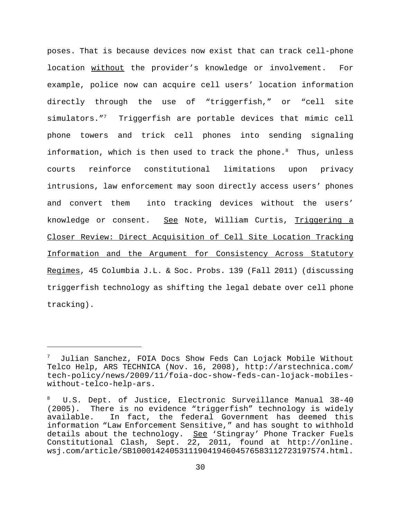poses. That is because devices now exist that can track cell-phone location without the provider's knowledge or involvement. For example, police now can acquire cell users' location information directly through the use of "triggerfish," or "cell site simulators."<sup>7</sup> Triggerfish are portable devices that mimic cell phone towers and trick cell phones into sending signaling information, which is then used to track the phone.<sup>8</sup> Thus, unless courts reinforce constitutional limitations upon privacy intrusions, law enforcement may soon directly access users' phones and convert them into tracking devices without the users' knowledge or consent. See Note, William Curtis, Triggering a Closer Review: Direct Acquisition of Cell Site Location Tracking Information and the Argument for Consistency Across Statutory Regimes, 45 Columbia J.L. & Soc. Probs. 139 (Fall 2011) (discussing triggerfish technology as shifting the legal debate over cell phone tracking).

<sup>7</sup> Julian Sanchez, FOIA Docs Show Feds Can Lojack Mobile Without Telco Help, ARS TECHNICA (Nov. 16, 2008), http://arstechnica.com/ tech-policy/news/2009/11/foia-doc-show-feds-can-lojack-mobileswithout-telco-help-ars.

U.S. Dept. of Justice, Electronic Surveillance Manual 38-40 (2005). There is no evidence "triggerfish" technology is widely available. In fact, the federal Government has deemed this information "Law Enforcement Sensitive," and has sought to withhold details about the technology. See 'Stingray' Phone Tracker Fuels Constitutional Clash, Sept. 22, 2011, found at http://online. wsj.com/article/SB10001424053111904194604576583112723197574.html.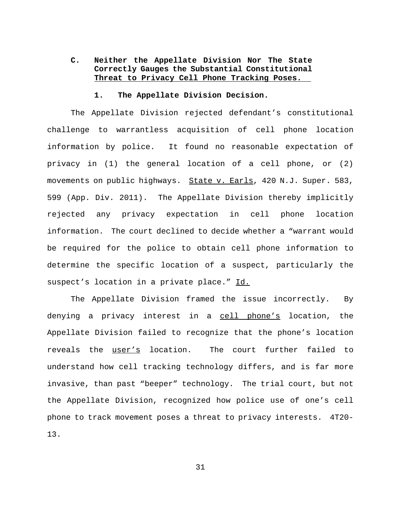# **C. Neither the Appellate Division Nor The State Correctly Gauges the Substantial Constitutional Threat to Privacy Cell Phone Tracking Poses.**

#### **1. The Appellate Division Decision.**

The Appellate Division rejected defendant's constitutional challenge to warrantless acquisition of cell phone location information by police. It found no reasonable expectation of privacy in (1) the general location of a cell phone, or (2) movements on public highways. State v. Earls, 420 N.J. Super. 583, 599 (App. Div. 2011). The Appellate Division thereby implicitly rejected any privacy expectation in cell phone location information. The court declined to decide whether a "warrant would be required for the police to obtain cell phone information to determine the specific location of a suspect, particularly the suspect's location in a private place." Id.

The Appellate Division framed the issue incorrectly. By denying a privacy interest in a cell phone's location, the Appellate Division failed to recognize that the phone's location reveals the user's location. The court further failed to understand how cell tracking technology differs, and is far more invasive, than past "beeper" technology. The trial court, but not the Appellate Division, recognized how police use of one's cell phone to track movement poses a threat to privacy interests. 4T20- 13.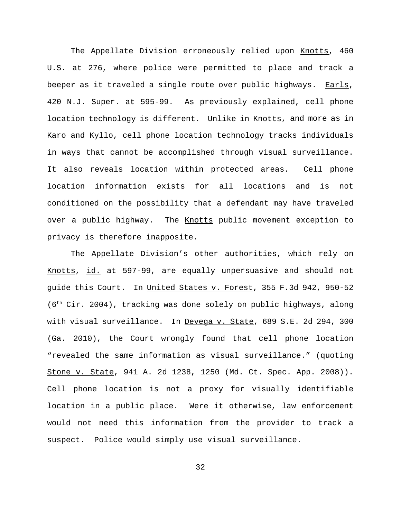The Appellate Division erroneously relied upon Knotts, 460 U.S. at 276, where police were permitted to place and track a beeper as it traveled a single route over public highways. Earls, 420 N.J. Super. at 595-99. As previously explained, cell phone location technology is different. Unlike in Knotts, and more as in Karo and Kyllo, cell phone location technology tracks individuals in ways that cannot be accomplished through visual surveillance. It also reveals location within protected areas. Cell phone location information exists for all locations and is not conditioned on the possibility that a defendant may have traveled over a public highway. The Knotts public movement exception to privacy is therefore inapposite.

The Appellate Division's other authorities, which rely on Knotts, id. at 597-99, are equally unpersuasive and should not guide this Court. In United States v. Forest, 355 F.3d 942, 950-52 (6th Cir. 2004), tracking was done solely on public highways, along with visual surveillance. In Devega v. State, 689 S.E. 2d 294, 300 (Ga. 2010), the Court wrongly found that cell phone location "revealed the same information as visual surveillance." (quoting Stone v. State, 941 A. 2d 1238, 1250 (Md. Ct. Spec. App. 2008)). Cell phone location is not a proxy for visually identifiable location in a public place. Were it otherwise, law enforcement would not need this information from the provider to track a suspect. Police would simply use visual surveillance.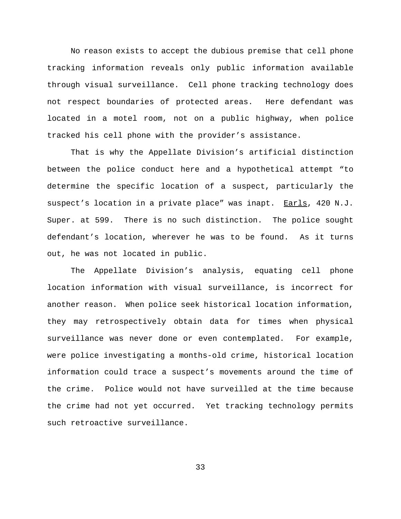No reason exists to accept the dubious premise that cell phone tracking information reveals only public information available through visual surveillance. Cell phone tracking technology does not respect boundaries of protected areas. Here defendant was located in a motel room, not on a public highway, when police tracked his cell phone with the provider's assistance.

That is why the Appellate Division's artificial distinction between the police conduct here and a hypothetical attempt "to determine the specific location of a suspect, particularly the suspect's location in a private place" was inapt. Earls, 420 N.J. Super. at 599. There is no such distinction. The police sought defendant's location, wherever he was to be found. As it turns out, he was not located in public.

The Appellate Division's analysis, equating cell phone location information with visual surveillance, is incorrect for another reason. When police seek historical location information, they may retrospectively obtain data for times when physical surveillance was never done or even contemplated. For example, were police investigating a months-old crime, historical location information could trace a suspect's movements around the time of the crime. Police would not have surveilled at the time because the crime had not yet occurred. Yet tracking technology permits such retroactive surveillance.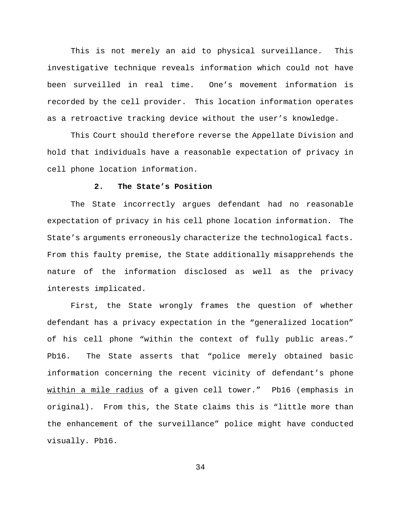This is not merely an aid to physical surveillance. This investigative technique reveals information which could not have been surveilled in real time. One's movement information is recorded by the cell provider. This location information operates as a retroactive tracking device without the user's knowledge.

This Court should therefore reverse the Appellate Division and hold that individuals have a reasonable expectation of privacy in cell phone location information.

### **2. The State's Position**

The State incorrectly argues defendant had no reasonable expectation of privacy in his cell phone location information. The State's arguments erroneously characterize the technological facts. From this faulty premise, the State additionally misapprehends the nature of the information disclosed as well as the privacy interests implicated.

First, the State wrongly frames the question of whether defendant has a privacy expectation in the "generalized location" of his cell phone "within the context of fully public areas." Pb16. The State asserts that "police merely obtained basic information concerning the recent vicinity of defendant's phone within a mile radius of a given cell tower." Pb16 (emphasis in original). From this, the State claims this is "little more than the enhancement of the surveillance" police might have conducted visually. Pb16.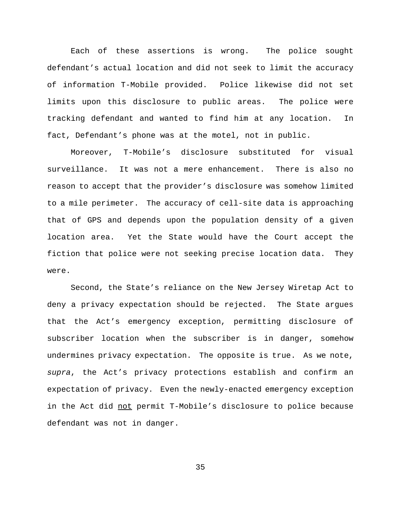Each of these assertions is wrong. The police sought defendant's actual location and did not seek to limit the accuracy of information T-Mobile provided. Police likewise did not set limits upon this disclosure to public areas. The police were tracking defendant and wanted to find him at any location. In fact, Defendant's phone was at the motel, not in public.

Moreover, T-Mobile's disclosure substituted for visual surveillance. It was not a mere enhancement. There is also no reason to accept that the provider's disclosure was somehow limited to a mile perimeter. The accuracy of cell-site data is approaching that of GPS and depends upon the population density of a given location area. Yet the State would have the Court accept the fiction that police were not seeking precise location data. They were.

Second, the State's reliance on the New Jersey Wiretap Act to deny a privacy expectation should be rejected. The State argues that the Act's emergency exception, permitting disclosure of subscriber location when the subscriber is in danger, somehow undermines privacy expectation. The opposite is true. As we note, *supra*, the Act's privacy protections establish and confirm an expectation of privacy. Even the newly-enacted emergency exception in the Act did not permit T-Mobile's disclosure to police because defendant was not in danger.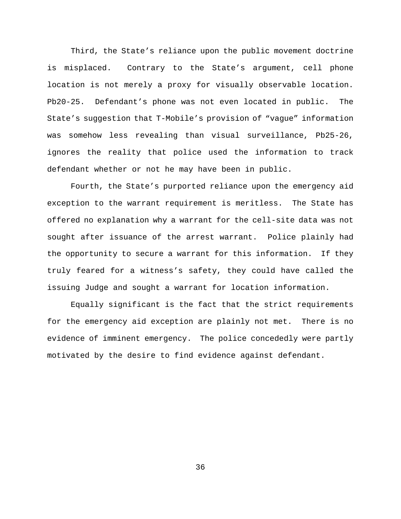Third, the State's reliance upon the public movement doctrine is misplaced. Contrary to the State's argument, cell phone location is not merely a proxy for visually observable location. Pb20-25. Defendant's phone was not even located in public. The State's suggestion that T-Mobile's provision of "vague" information was somehow less revealing than visual surveillance, Pb25-26, ignores the reality that police used the information to track defendant whether or not he may have been in public.

Fourth, the State's purported reliance upon the emergency aid exception to the warrant requirement is meritless. The State has offered no explanation why a warrant for the cell-site data was not sought after issuance of the arrest warrant. Police plainly had the opportunity to secure a warrant for this information. If they truly feared for a witness's safety, they could have called the issuing Judge and sought a warrant for location information.

Equally significant is the fact that the strict requirements for the emergency aid exception are plainly not met. There is no evidence of imminent emergency. The police concededly were partly motivated by the desire to find evidence against defendant.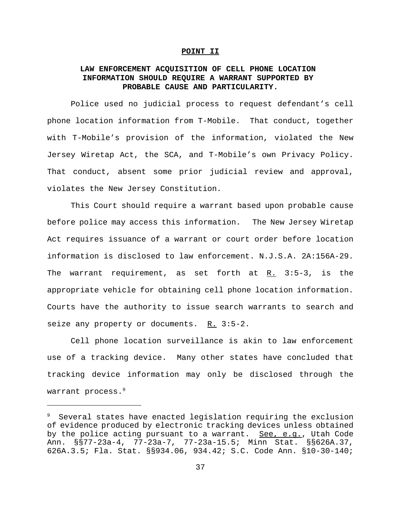#### **POINT II**

# **LAW ENFORCEMENT ACQUISITION OF CELL PHONE LOCATION INFORMATION SHOULD REQUIRE A WARRANT SUPPORTED BY PROBABLE CAUSE AND PARTICULARITY.**

Police used no judicial process to request defendant's cell phone location information from T-Mobile. That conduct, together with T-Mobile's provision of the information, violated the New Jersey Wiretap Act, the SCA, and T-Mobile's own Privacy Policy. That conduct, absent some prior judicial review and approval, violates the New Jersey Constitution.

This Court should require a warrant based upon probable cause before police may access this information. The New Jersey Wiretap Act requires issuance of a warrant or court order before location information is disclosed to law enforcement. N.J.S.A. 2A:156A-29. The warrant requirement, as set forth at  $R_2$ . 3:5-3, is the appropriate vehicle for obtaining cell phone location information. Courts have the authority to issue search warrants to search and seize any property or documents.  $R. 3:5-2.$ 

Cell phone location surveillance is akin to law enforcement use of a tracking device. Many other states have concluded that tracking device information may only be disclosed through the warrant process.<sup>9</sup>

<sup>9</sup> Several states have enacted legislation requiring the exclusion of evidence produced by electronic tracking devices unless obtained by the police acting pursuant to a warrant. <u>See, e.g.</u>, Utah Code Ann. §§77-23a-4, 77-23a-7, 77-23a-15.5; Minn Stat. §§626A.37, 626A.3.5; Fla. Stat. §§934.06, 934.42; S.C. Code Ann. §10-30-140;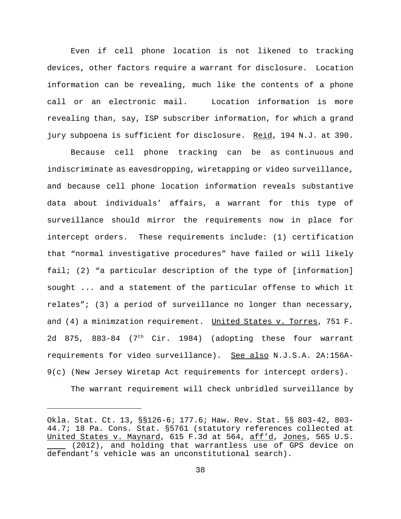Even if cell phone location is not likened to tracking devices, other factors require a warrant for disclosure. Location information can be revealing, much like the contents of a phone call or an electronic mail. Location information is more revealing than, say, ISP subscriber information, for which a grand jury subpoena is sufficient for disclosure. Reid, 194 N.J. at 390.

 Because cell phone tracking can be as continuous and indiscriminate as eavesdropping, wiretapping or video surveillance, and because cell phone location information reveals substantive data about individuals' affairs, a warrant for this type of surveillance should mirror the requirements now in place for intercept orders. These requirements include: (1) certification that "normal investigative procedures" have failed or will likely fail; (2) "a particular description of the type of [information] sought ... and a statement of the particular offense to which it relates"; (3) a period of surveillance no longer than necessary, and  $(4)$  a minimzation requirement. United States v. Torres, 751 F. 2d 875, 883-84 (7<sup>th</sup> Cir. 1984) (adopting these four warrant requirements for video surveillance). See also N.J.S.A. 2A:156A-9(c) (New Jersey Wiretap Act requirements for intercept orders).

The warrant requirement will check unbridled surveillance by

Okla. Stat. Ct. 13, §§126-6; 177.6; Haw. Rev. Stat. §§ 803-42, 803- 44.7; 18 Pa. Cons. Stat. §5761 (statutory references collected at United States v. Maynard, 615 F.3d at 564, aff'd, Jones, 565 U.S. (2012), and holding that warrantless use of GPS device on defendant's vehicle was an unconstitutional search).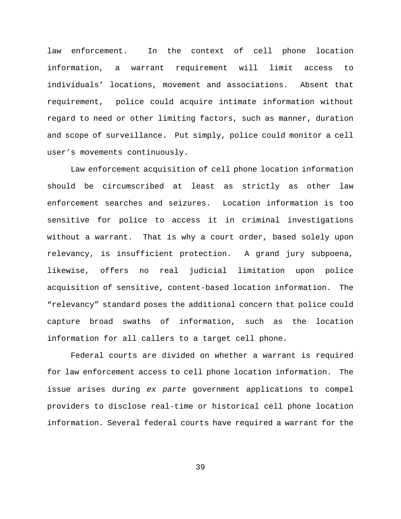law enforcement. In the context of cell phone location information, a warrant requirement will limit access to individuals' locations, movement and associations. Absent that requirement, police could acquire intimate information without regard to need or other limiting factors, such as manner, duration and scope of surveillance. Put simply, police could monitor a cell user's movements continuously.

Law enforcement acquisition of cell phone location information should be circumscribed at least as strictly as other law enforcement searches and seizures. Location information is too sensitive for police to access it in criminal investigations without a warrant. That is why a court order, based solely upon relevancy, is insufficient protection. A grand jury subpoena, likewise, offers no real judicial limitation upon police acquisition of sensitive, content-based location information. The "relevancy" standard poses the additional concern that police could capture broad swaths of information, such as the location information for all callers to a target cell phone.

Federal courts are divided on whether a warrant is required for law enforcement access to cell phone location information. The issue arises during *ex parte* government applications to compel providers to disclose real-time or historical cell phone location information. Several federal courts have required a warrant for the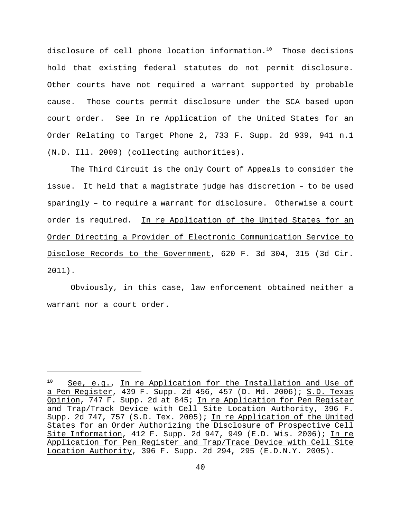disclosure of cell phone location information. $10$  Those decisions hold that existing federal statutes do not permit disclosure. Other courts have not required a warrant supported by probable cause. Those courts permit disclosure under the SCA based upon court order. See In re Application of the United States for an Order Relating to Target Phone 2, 733 F. Supp. 2d 939, 941 n.1 (N.D. Ill. 2009) (collecting authorities).

The Third Circuit is the only Court of Appeals to consider the issue. It held that a magistrate judge has discretion – to be used sparingly – to require a warrant for disclosure. Otherwise a court order is required. In re Application of the United States for an Order Directing a Provider of Electronic Communication Service to Disclose Records to the Government, 620 F. 3d 304, 315 (3d Cir. 2011).

Obviously, in this case, law enforcement obtained neither a warrant nor a court order.

<sup>10</sup> See, e.g., In re Application for the Installation and Use of a Pen Register, 439 F. Supp. 2d 456, 457 (D. Md. 2006); S.D. Texas Opinion, 747 F. Supp. 2d at 845; In re Application for Pen Register and Trap/Track Device with Cell Site Location Authority, 396 F. Supp. 2d 747, 757 (S.D. Tex. 2005); In re Application of the United States for an Order Authorizing the Disclosure of Prospective Cell Site Information, 412 F. Supp. 2d 947, 949 (E.D. Wis. 2006); In re Application for Pen Register and Trap/Trace Device with Cell Site Location Authority, 396 F. Supp. 2d 294, 295 (E.D.N.Y. 2005).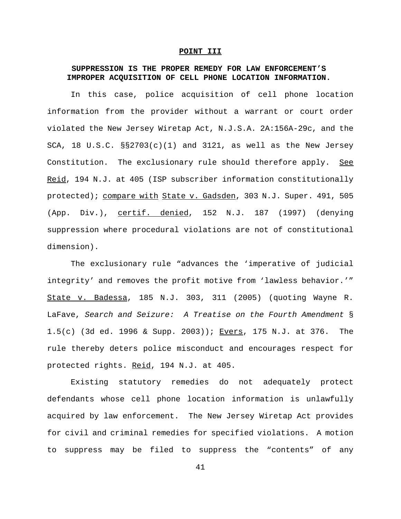### **POINT III**

### **SUPPRESSION IS THE PROPER REMEDY FOR LAW ENFORCEMENT'S IMPROPER ACQUISITION OF CELL PHONE LOCATION INFORMATION.**

In this case, police acquisition of cell phone location information from the provider without a warrant or court order violated the New Jersey Wiretap Act, N.J.S.A. 2A:156A-29c, and the SCA, 18 U.S.C.  $\S2703(c)(1)$  and 3121, as well as the New Jersey Constitution. The exclusionary rule should therefore apply. See Reid, 194 N.J. at 405 (ISP subscriber information constitutionally protected); compare with State v. Gadsden, 303 N.J. Super. 491, 505 (App. Div.), certif. denied, 152 N.J. 187 (1997) (denying suppression where procedural violations are not of constitutional dimension).

The exclusionary rule "advances the 'imperative of judicial integrity' and removes the profit motive from 'lawless behavior.'" State v. Badessa, 185 N.J. 303, 311 (2005) (quoting Wayne R. LaFave, *Search and Seizure: A Treatise on the Fourth Amendment* § 1.5(c) (3d ed. 1996 & Supp. 2003)); Evers, 175 N.J. at 376. The rule thereby deters police misconduct and encourages respect for protected rights. Reid, 194 N.J. at 405.

Existing statutory remedies do not adequately protect defendants whose cell phone location information is unlawfully acquired by law enforcement. The New Jersey Wiretap Act provides for civil and criminal remedies for specified violations. A motion to suppress may be filed to suppress the "contents" of any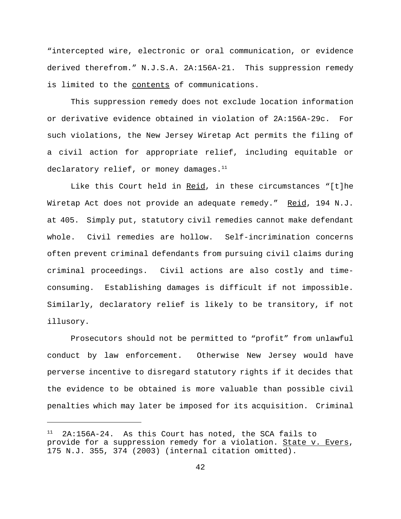"intercepted wire, electronic or oral communication, or evidence derived therefrom." N.J.S.A. 2A:156A-21. This suppression remedy is limited to the contents of communications.

This suppression remedy does not exclude location information or derivative evidence obtained in violation of 2A:156A-29c. For such violations, the New Jersey Wiretap Act permits the filing of a civil action for appropriate relief, including equitable or declaratory relief, or money damages. $^{11}$ 

Like this Court held in Reid, in these circumstances "[t]he Wiretap Act does not provide an adequate remedy." Reid, 194 N.J. at 405. Simply put, statutory civil remedies cannot make defendant whole. Civil remedies are hollow. Self-incrimination concerns often prevent criminal defendants from pursuing civil claims during criminal proceedings. Civil actions are also costly and timeconsuming. Establishing damages is difficult if not impossible. Similarly, declaratory relief is likely to be transitory, if not illusory.

Prosecutors should not be permitted to "profit" from unlawful conduct by law enforcement. Otherwise New Jersey would have perverse incentive to disregard statutory rights if it decides that the evidence to be obtained is more valuable than possible civil penalties which may later be imposed for its acquisition. Criminal

<sup>11 2</sup>A:156A-24. As this Court has noted, the SCA fails to provide for a suppression remedy for a violation. State v. Evers, 175 N.J. 355, 374 (2003) (internal citation omitted).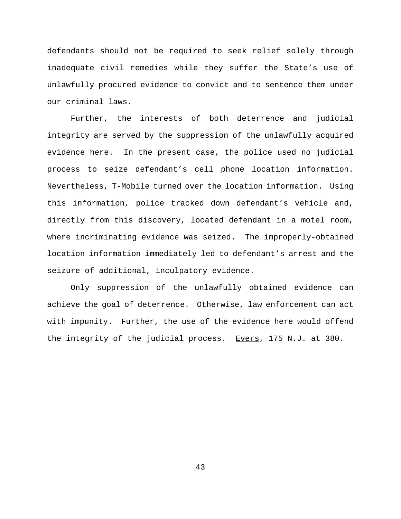defendants should not be required to seek relief solely through inadequate civil remedies while they suffer the State's use of unlawfully procured evidence to convict and to sentence them under our criminal laws.

Further, the interests of both deterrence and judicial integrity are served by the suppression of the unlawfully acquired evidence here. In the present case, the police used no judicial process to seize defendant's cell phone location information. Nevertheless, T-Mobile turned over the location information. Using this information, police tracked down defendant's vehicle and, directly from this discovery, located defendant in a motel room, where incriminating evidence was seized. The improperly-obtained location information immediately led to defendant's arrest and the seizure of additional, inculpatory evidence.

Only suppression of the unlawfully obtained evidence can achieve the goal of deterrence. Otherwise, law enforcement can act with impunity. Further, the use of the evidence here would offend the integrity of the judicial process. Evers, 175 N.J. at 380.